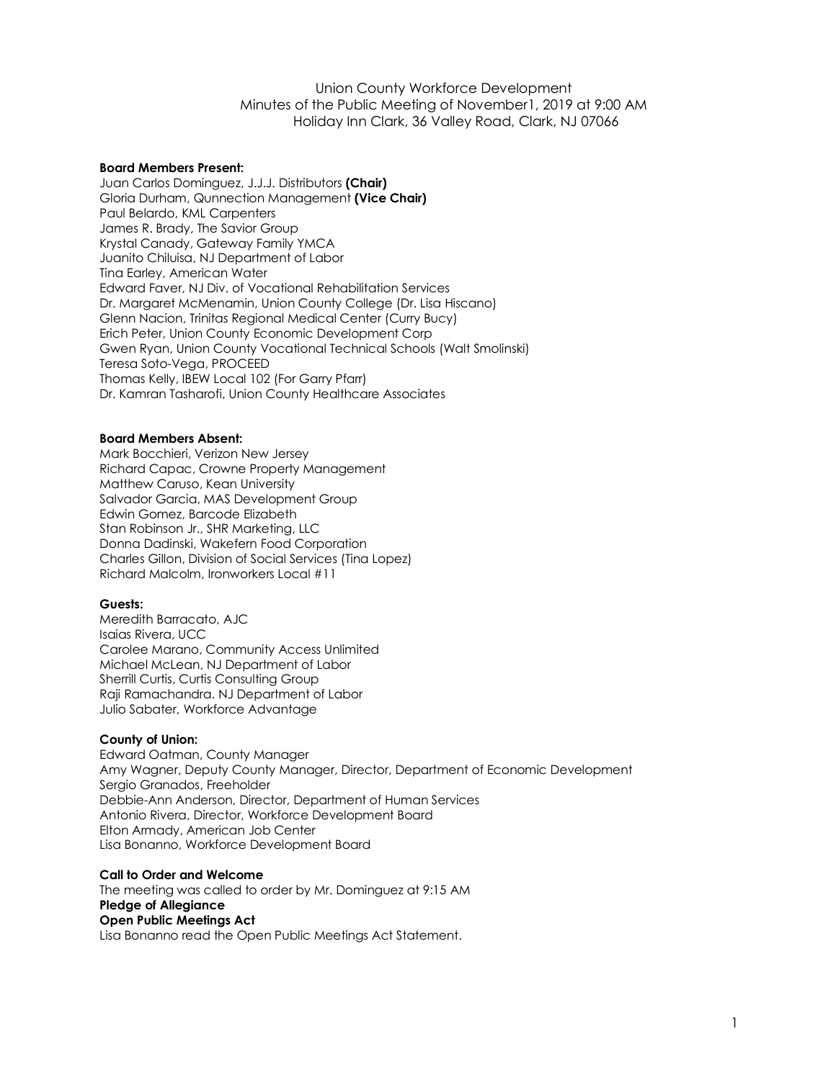Union County Workforce Development Minutes of the Public Meeting of November1, 2019 at 9:00 AM Holiday Inn Clark, 36 Valley Road, Clark, NJ 07066

### **Board Members Present:**

Juan Carlos Dominguez, J.J.J. Distributors **(Chair)** Gloria Durham, Qunnection Management **(Vice Chair)** Paul Belardo, KML Carpenters James R. Brady, The Savior Group Krystal Canady, Gateway Family YMCA Juanito Chiluisa, NJ Department of Labor Tina Earley, American Water Edward Faver, NJ Div. of Vocational Rehabilitation Services Dr. Margaret McMenamin, Union County College (Dr. Lisa Hiscano) Glenn Nacion, Trinitas Regional Medical Center (Curry Bucy) Erich Peter, Union County Economic Development Corp Gwen Ryan, Union County Vocational Technical Schools (Walt Smolinski) Teresa Soto-Vega, PROCEED Thomas Kelly, IBEW Local 102 (For Garry Pfarr) Dr. Kamran Tasharofi, Union County Healthcare Associates

#### **Board Members Absent:**

Mark Bocchieri, Verizon New Jersey Richard Capac, Crowne Property Management Matthew Caruso, Kean University Salvador Garcia, MAS Development Group Edwin Gomez, Barcode Elizabeth Stan Robinson Jr., SHR Marketing, LLC Donna Dadinski, Wakefern Food Corporation Charles Gillon, Division of Social Services (Tina Lopez) Richard Malcolm, Ironworkers Local #11

### **Guests:**

Meredith Barracato, AJC Isaias Rivera, UCC Carolee Marano, Community Access Unlimited Michael McLean, NJ Department of Labor Sherrill Curtis, Curtis Consulting Group Raji Ramachandra. NJ Department of Labor Julio Sabater, Workforce Advantage

### **County of Union:**

Edward Oatman, County Manager Amy Wagner, Deputy County Manager, Director, Department of Economic Development Sergio Granados, Freeholder Debbie-Ann Anderson, Director, Department of Human Services Antonio Rivera, Director, Workforce Development Board Elton Armady, American Job Center Lisa Bonanno, Workforce Development Board

### **Call to Order and Welcome**

The meeting was called to order by Mr. Dominguez at 9:15 AM **Pledge of Allegiance Open Public Meetings Act** Lisa Bonanno read the Open Public Meetings Act Statement.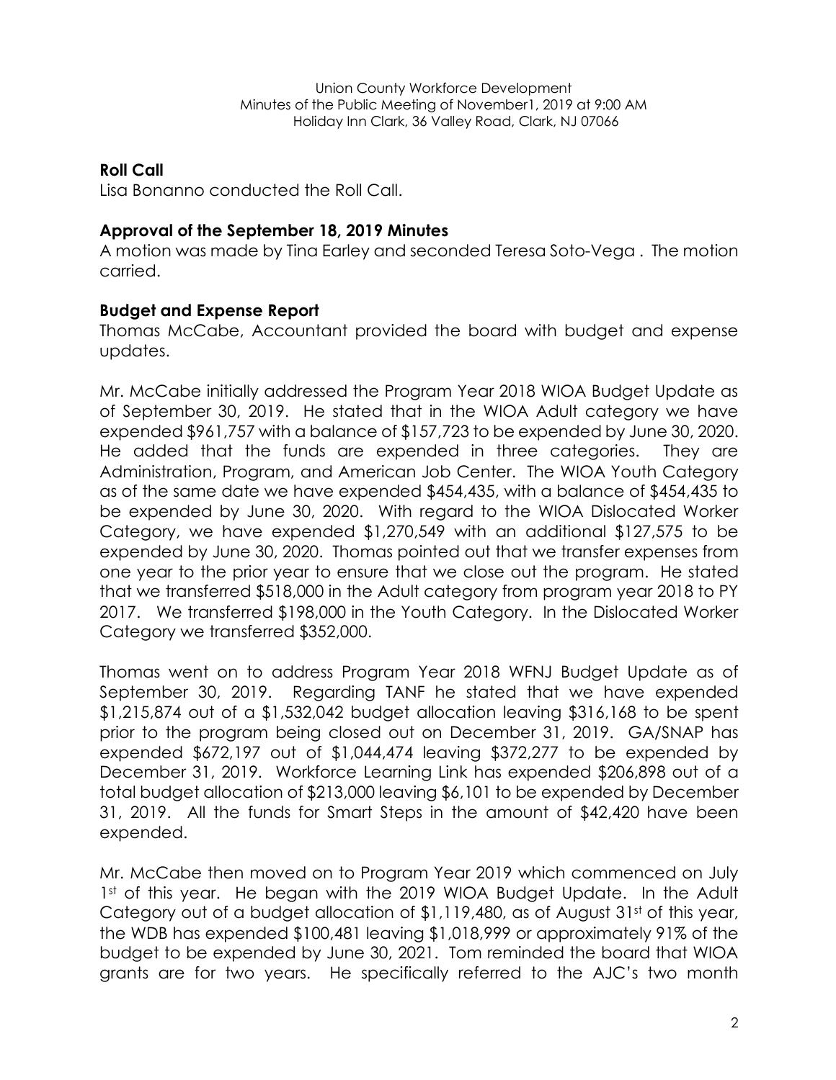## **Roll Call**

Lisa Bonanno conducted the Roll Call.

# **Approval of the September 18, 2019 Minutes**

A motion was made by Tina Earley and seconded Teresa Soto-Vega . The motion carried.

# **Budget and Expense Report**

Thomas McCabe, Accountant provided the board with budget and expense updates.

Mr. McCabe initially addressed the Program Year 2018 WIOA Budget Update as of September 30, 2019. He stated that in the WIOA Adult category we have expended \$961,757 with a balance of \$157,723 to be expended by June 30, 2020. He added that the funds are expended in three categories. They are Administration, Program, and American Job Center. The WIOA Youth Category as of the same date we have expended \$454,435, with a balance of \$454,435 to be expended by June 30, 2020. With regard to the WIOA Dislocated Worker Category, we have expended \$1,270,549 with an additional \$127,575 to be expended by June 30, 2020. Thomas pointed out that we transfer expenses from one year to the prior year to ensure that we close out the program. He stated that we transferred \$518,000 in the Adult category from program year 2018 to PY 2017. We transferred \$198,000 in the Youth Category. In the Dislocated Worker Category we transferred \$352,000.

Thomas went on to address Program Year 2018 WFNJ Budget Update as of September 30, 2019. Regarding TANF he stated that we have expended \$1,215,874 out of a \$1,532,042 budget allocation leaving \$316,168 to be spent prior to the program being closed out on December 31, 2019. GA/SNAP has expended \$672,197 out of \$1,044,474 leaving \$372,277 to be expended by December 31, 2019. Workforce Learning Link has expended \$206,898 out of a total budget allocation of \$213,000 leaving \$6,101 to be expended by December 31, 2019. All the funds for Smart Steps in the amount of \$42,420 have been expended.

Mr. McCabe then moved on to Program Year 2019 which commenced on July 1st of this year. He began with the 2019 WIOA Budget Update. In the Adult Category out of a budget allocation of \$1,119,480, as of August 31st of this year, the WDB has expended \$100,481 leaving \$1,018,999 or approximately 91% of the budget to be expended by June 30, 2021. Tom reminded the board that WIOA grants are for two years. He specifically referred to the AJC's two month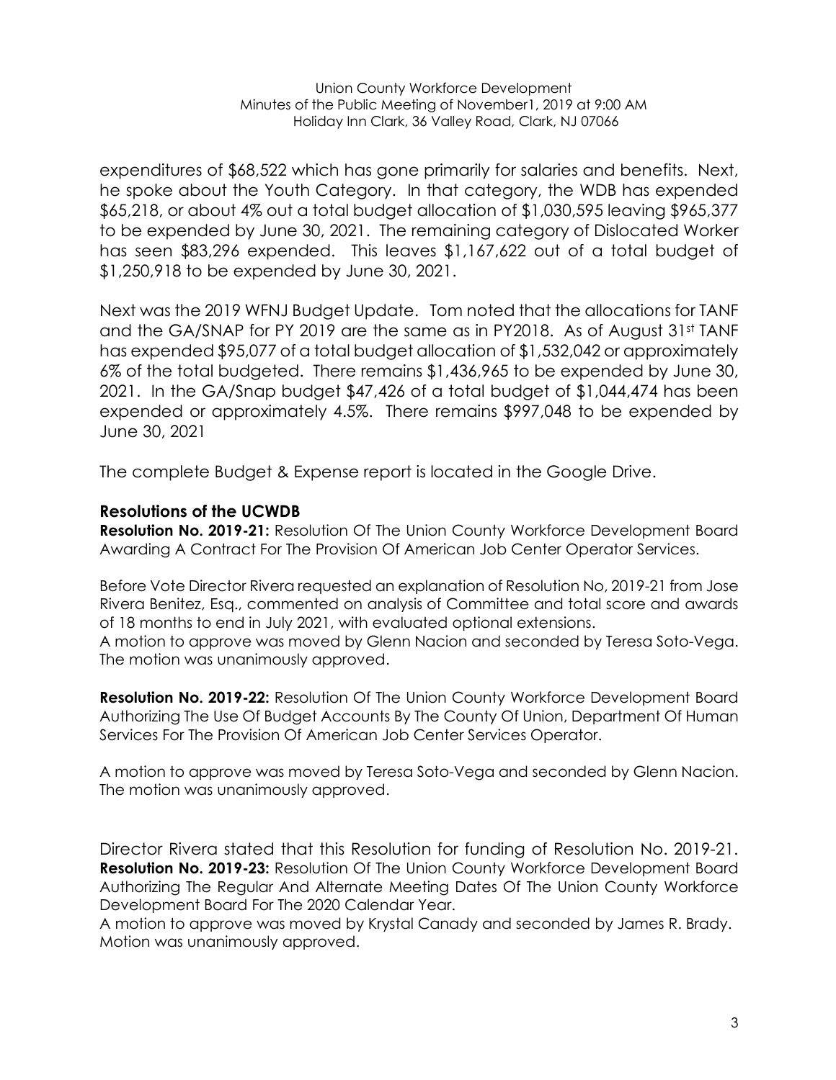expenditures of \$68,522 which has gone primarily for salaries and benefits. Next, he spoke about the Youth Category. In that category, the WDB has expended \$65,218, or about 4% out a total budget allocation of \$1,030,595 leaving \$965,377 to be expended by June 30, 2021. The remaining category of Dislocated Worker has seen \$83,296 expended. This leaves \$1,167,622 out of a total budget of \$1,250,918 to be expended by June 30, 2021.

Next was the 2019 WFNJ Budget Update. Tom noted that the allocations for TANF and the GA/SNAP for PY 2019 are the same as in PY2018. As of August 31st TANF has expended \$95,077 of a total budget allocation of \$1,532,042 or approximately 6% of the total budgeted. There remains \$1,436,965 to be expended by June 30, 2021. In the GA/Snap budget \$47,426 of a total budget of \$1,044,474 has been expended or approximately 4.5%. There remains \$997,048 to be expended by June 30, 2021

The complete Budget & Expense report is located in the Google Drive.

## **Resolutions of the UCWDB**

**Resolution No. 2019-21:** Resolution Of The Union County Workforce Development Board Awarding A Contract For The Provision Of American Job Center Operator Services.

Before Vote Director Rivera requested an explanation of Resolution No, 2019-21 from Jose Rivera Benitez, Esq., commented on analysis of Committee and total score and awards of 18 months to end in July 2021, with evaluated optional extensions.

A motion to approve was moved by Glenn Nacion and seconded by Teresa Soto-Vega. The motion was unanimously approved.

**Resolution No. 2019-22:** Resolution Of The Union County Workforce Development Board Authorizing The Use Of Budget Accounts By The County Of Union, Department Of Human Services For The Provision Of American Job Center Services Operator.

A motion to approve was moved by Teresa Soto-Vega and seconded by Glenn Nacion. The motion was unanimously approved.

Director Rivera stated that this Resolution for funding of Resolution No. 2019-21. **Resolution No. 2019-23:** Resolution Of The Union County Workforce Development Board Authorizing The Regular And Alternate Meeting Dates Of The Union County Workforce Development Board For The 2020 Calendar Year.

A motion to approve was moved by Krystal Canady and seconded by James R. Brady. Motion was unanimously approved.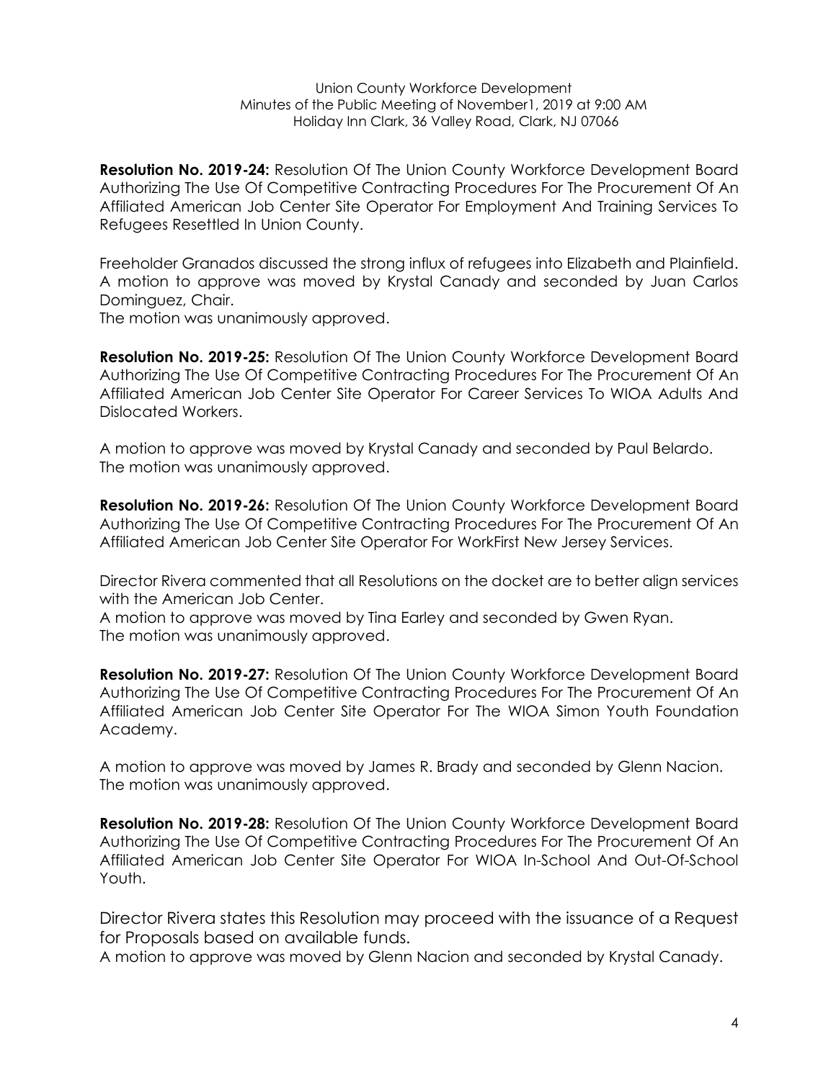**Resolution No. 2019-24:** Resolution Of The Union County Workforce Development Board Authorizing The Use Of Competitive Contracting Procedures For The Procurement Of An Affiliated American Job Center Site Operator For Employment And Training Services To Refugees Resettled In Union County.

Freeholder Granados discussed the strong influx of refugees into Elizabeth and Plainfield. A motion to approve was moved by Krystal Canady and seconded by Juan Carlos Dominguez, Chair.

The motion was unanimously approved.

**Resolution No. 2019-25:** Resolution Of The Union County Workforce Development Board Authorizing The Use Of Competitive Contracting Procedures For The Procurement Of An Affiliated American Job Center Site Operator For Career Services To WIOA Adults And Dislocated Workers.

A motion to approve was moved by Krystal Canady and seconded by Paul Belardo. The motion was unanimously approved.

**Resolution No. 2019-26:** Resolution Of The Union County Workforce Development Board Authorizing The Use Of Competitive Contracting Procedures For The Procurement Of An Affiliated American Job Center Site Operator For WorkFirst New Jersey Services.

Director Rivera commented that all Resolutions on the docket are to better align services with the American Job Center.

A motion to approve was moved by Tina Earley and seconded by Gwen Ryan. The motion was unanimously approved.

**Resolution No. 2019-27:** Resolution Of The Union County Workforce Development Board Authorizing The Use Of Competitive Contracting Procedures For The Procurement Of An Affiliated American Job Center Site Operator For The WIOA Simon Youth Foundation Academy.

A motion to approve was moved by James R. Brady and seconded by Glenn Nacion. The motion was unanimously approved.

**Resolution No. 2019-28:** Resolution Of The Union County Workforce Development Board Authorizing The Use Of Competitive Contracting Procedures For The Procurement Of An Affiliated American Job Center Site Operator For WIOA In-School And Out-Of-School Youth.

Director Rivera states this Resolution may proceed with the issuance of a Request for Proposals based on available funds.

A motion to approve was moved by Glenn Nacion and seconded by Krystal Canady.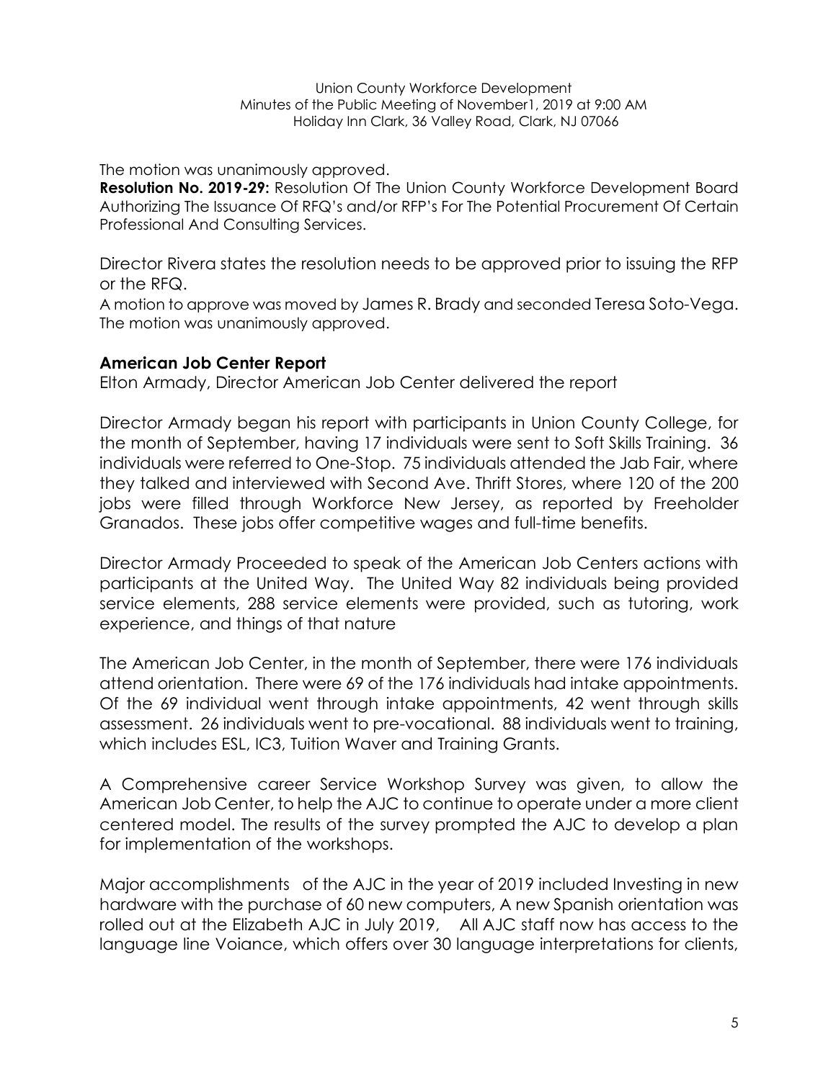Union County Workforce Development Minutes of the Public Meeting of November1, 2019 at 9:00 AM Holiday Inn Clark, 36 Valley Road, Clark, NJ 07066

The motion was unanimously approved.

**Resolution No. 2019-29:** Resolution Of The Union County Workforce Development Board Authorizing The Issuance Of RFQ's and/or RFP's For The Potential Procurement Of Certain Professional And Consulting Services.

Director Rivera states the resolution needs to be approved prior to issuing the RFP or the RFQ.

A motion to approve was moved by James R. Brady and seconded Teresa Soto-Vega. The motion was unanimously approved.

## **American Job Center Report**

Elton Armady, Director American Job Center delivered the report

Director Armady began his report with participants in Union County College, for the month of September, having 17 individuals were sent to Soft Skills Training. 36 individuals were referred to One-Stop. 75 individuals attended the Jab Fair, where they talked and interviewed with Second Ave. Thrift Stores, where 120 of the 200 jobs were filled through Workforce New Jersey, as reported by Freeholder Granados. These jobs offer competitive wages and full-time benefits.

Director Armady Proceeded to speak of the American Job Centers actions with participants at the United Way. The United Way 82 individuals being provided service elements, 288 service elements were provided, such as tutoring, work experience, and things of that nature

The American Job Center, in the month of September, there were 176 individuals attend orientation. There were 69 of the 176 individuals had intake appointments. Of the 69 individual went through intake appointments, 42 went through skills assessment. 26 individuals went to pre-vocational. 88 individuals went to training, which includes ESL, IC3, Tuition Waver and Training Grants.

A Comprehensive career Service Workshop Survey was given, to allow the American Job Center, to help the AJC to continue to operate under a more client centered model. The results of the survey prompted the AJC to develop a plan for implementation of the workshops.

Major accomplishments of the AJC in the year of 2019 included Investing in new hardware with the purchase of 60 new computers, A new Spanish orientation was rolled out at the Elizabeth AJC in July 2019, All AJC staff now has access to the language line Voiance, which offers over 30 language interpretations for clients,